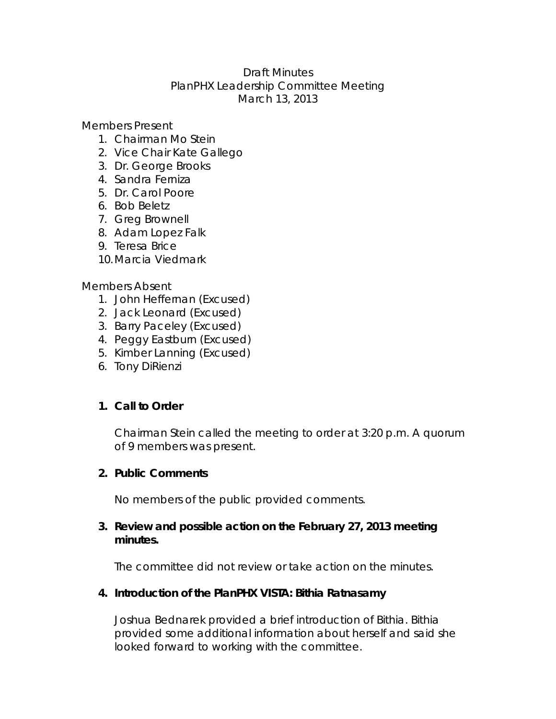# Draft Minutes PlanPHX Leadership Committee Meeting March 13, 2013

Members Present

- 1. Chairman Mo Stein
- 2. Vice Chair Kate Gallego
- 3. Dr. George Brooks
- 4. Sandra Ferniza
- 5. Dr. Carol Poore
- 6. Bob Beletz
- 7. Greg Brownell
- 8. Adam Lopez Falk
- 9. Teresa Brice
- 10.Marcia Viedmark

#### Members Absent

- 1. John Heffernan (Excused)
- 2. Jack Leonard (Excused)
- 3. Barry Paceley (Excused)
- 4. Peggy Eastburn (Excused)
- 5. Kimber Lanning (Excused)
- 6. Tony DiRienzi

#### **1. Call to Order**

Chairman Stein called the meeting to order at 3:20 p.m. A quorum of 9 members was present.

#### **2. Public Comments**

No members of the public provided comments.

### **3. Review and possible action on the February 27, 2013 meeting minutes.**

The committee did not review or take action on the minutes.

#### **4. Introduction of the PlanPHX VISTA: Bithia Ratnasamy**

Joshua Bednarek provided a brief introduction of Bithia. Bithia provided some additional information about herself and said she looked forward to working with the committee.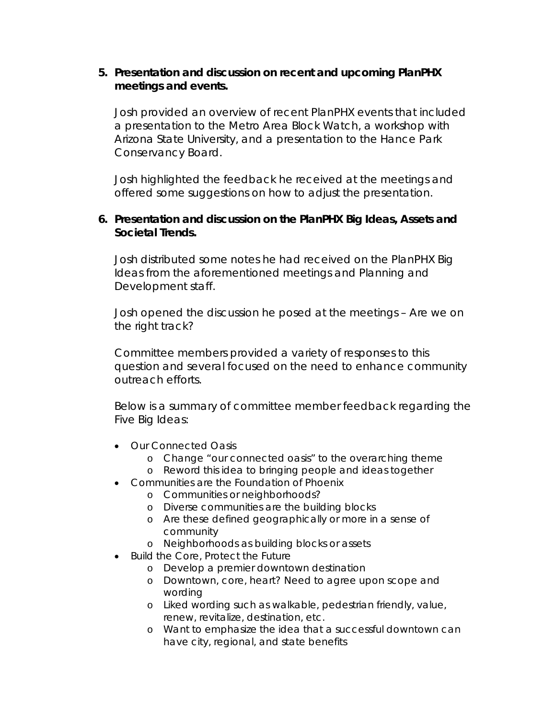## **5. Presentation and discussion on recent and upcoming PlanPHX meetings and events.**

Josh provided an overview of recent PlanPHX events that included a presentation to the Metro Area Block Watch, a workshop with Arizona State University, and a presentation to the Hance Park Conservancy Board.

Josh highlighted the feedback he received at the meetings and offered some suggestions on how to adjust the presentation.

## **6. Presentation and discussion on the PlanPHX Big Ideas, Assets and Societal Trends.**

Josh distributed some notes he had received on the PlanPHX Big Ideas from the aforementioned meetings and Planning and Development staff.

Josh opened the discussion he posed at the meetings – Are we on the right track?

Committee members provided a variety of responses to this question and several focused on the need to enhance community outreach efforts.

Below is a summary of committee member feedback regarding the Five Big Ideas:

- Our Connected Oasis
	- o Change "our connected oasis" to the overarching theme
	- o Reword this idea to bringing people and ideas together
- Communities are the Foundation of Phoenix
	- o Communities or neighborhoods?
	- o Diverse communities are the building blocks
	- o Are these defined geographically or more in a sense of community
	- o Neighborhoods as building blocks or assets
- Build the Core, Protect the Future
	- o Develop a premier downtown destination
	- o Downtown, core, heart? Need to agree upon scope and wording
	- o Liked wording such as walkable, pedestrian friendly, value, renew, revitalize, destination, etc.
	- o Want to emphasize the idea that a successful downtown can have city, regional, and state benefits